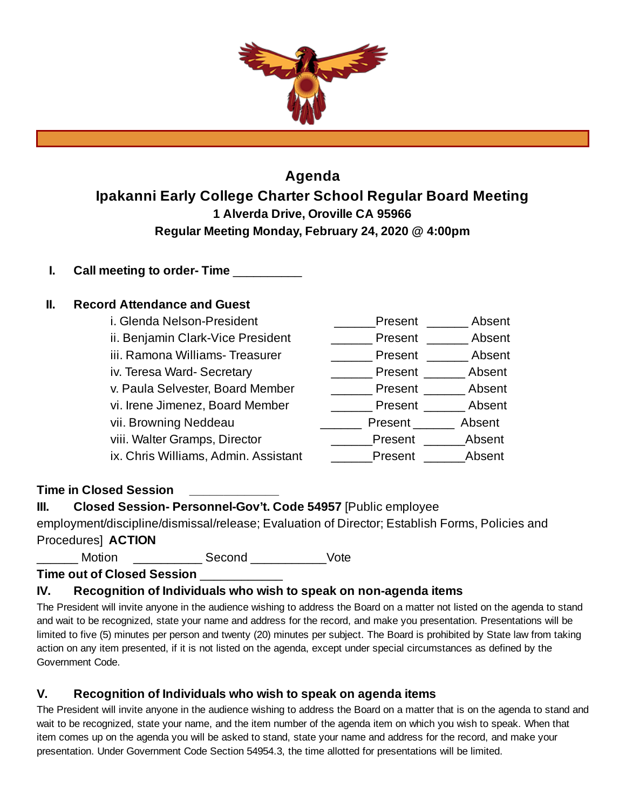

# **Agenda Ipakanni Early College Charter School Regular Board Meeting 1 Alverda Drive, Oroville CA 95966 Regular Meeting Monday, February 24, 2020 @ 4:00pm**

**I. Call meeting to order- Time** \_\_\_\_\_\_\_\_\_\_

## **II. Record Attendance and Guest**

| i. Glenda Nelson-President           | Present | Absent |
|--------------------------------------|---------|--------|
| ii. Benjamin Clark-Vice President    | Present | Absent |
| iii. Ramona Williams- Treasurer      | Present | Absent |
| iv. Teresa Ward-Secretary            | Present | Absent |
| v. Paula Selvester, Board Member     | Present | Absent |
| vi. Irene Jimenez, Board Member      | Present | Absent |
| vii. Browning Neddeau                | Present | Absent |
| viii. Walter Gramps, Director        | Present | Absent |
| ix. Chris Williams, Admin. Assistant | Present | Absent |

**Time in Closed Session \_\_\_\_\_\_\_\_\_\_\_\_\_**

**III. Closed Session- Personnel-Gov't. Code 54957** [Public employee

employment/discipline/dismissal/release; Evaluation of Director; Establish Forms, Policies and Procedures] **ACTION**

Motion **Execond** Motion Second Vote

**Time out of Closed Session** \_\_\_\_\_\_\_\_\_\_\_\_

## **IV. Recognition of Individuals who wish to speak on non-agenda items**

The President will invite anyone in the audience wishing to address the Board on a matter not listed on the agenda to stand and wait to be recognized, state your name and address for the record, and make you presentation. Presentations will be limited to five (5) minutes per person and twenty (20) minutes per subject. The Board is prohibited by State law from taking action on any item presented, if it is not listed on the agenda, except under special circumstances as defined by the Government Code.

## **V. Recognition of Individuals who wish to speak on agenda items**

The President will invite anyone in the audience wishing to address the Board on a matter that is on the agenda to stand and wait to be recognized, state your name, and the item number of the agenda item on which you wish to speak. When that item comes up on the agenda you will be asked to stand, state your name and address for the record, and make your presentation. Under Government Code Section 54954.3, the time allotted for presentations will be limited.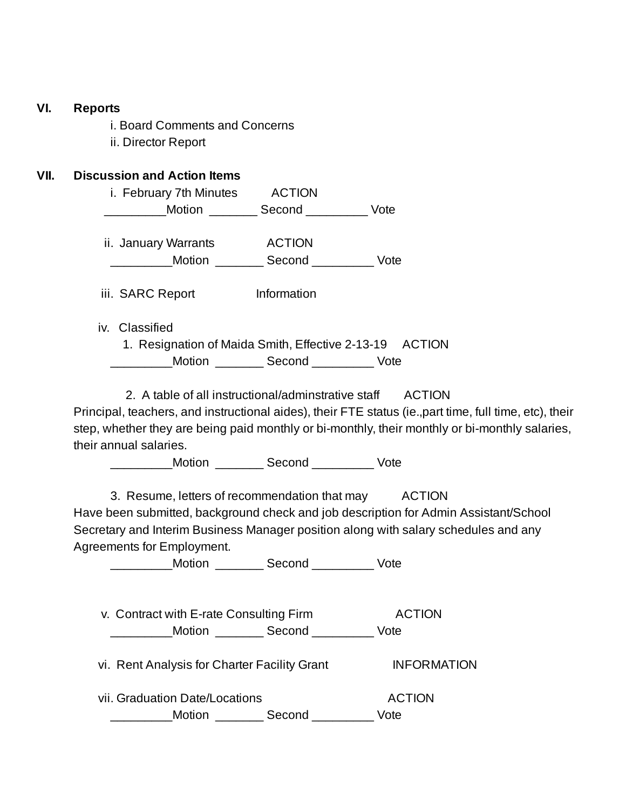### **VI. Reports**

i. Board Comments and Concerns ii. Director Report

### **VII. Discussion and Action Items**

| i. February 7th Minutes | <b>ACTION</b> |      |
|-------------------------|---------------|------|
| Motion                  | Second        | Vote |
|                         |               |      |
| ii. January Warrants    | <b>ACTION</b> |      |
| Motion                  | Second        | Vote |
|                         |               |      |

iii. SARC Report Information

iv. Classified

1. Resignation of Maida Smith, Effective 2-13-19 ACTION **Motion Second** Vote

2. A table of all instructional/adminstrative staff ACTION

Principal, teachers, and instructional aides), their FTE status (ie.,part time, full time, etc), their step, whether they are being paid monthly or bi-monthly, their monthly or bi-monthly salaries, their annual salaries.

Motion **Second** Vote

3. Resume, letters of recommendation that may ACTION Have been submitted, background check and job description for Admin Assistant/School Secretary and Interim Business Manager position along with salary schedules and any Agreements for Employment.

\_\_\_\_\_\_\_\_\_Motion \_\_\_\_\_\_\_ Second \_\_\_\_\_\_\_\_\_ Vote

v. Contract with E-rate Consulting Firm ACTION \_\_\_\_\_\_\_\_\_Motion \_\_\_\_\_\_\_ Second \_\_\_\_\_\_\_\_\_ Vote

vi. Rent Analysis for Charter Facility Grant **INFORMATION** 

vii. Graduation Date/Locations **ACTION** \_Motion \_\_\_\_\_\_\_\_\_ Second \_\_\_\_\_\_\_\_\_\_ Vote